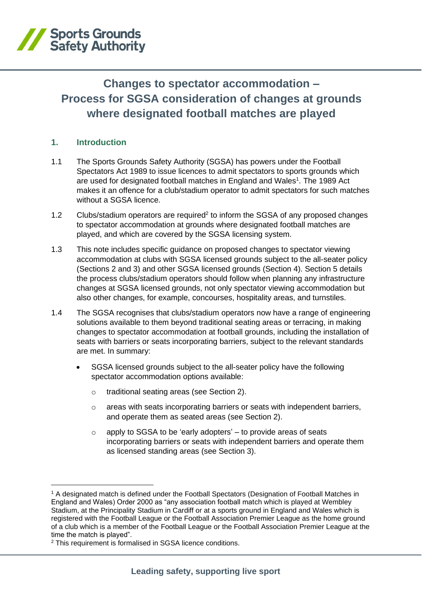

# **Changes to spectator accommodation – Process for SGSA consideration of changes at grounds where designated football matches are played**

## **1. Introduction**

- 1.1 The Sports Grounds Safety Authority (SGSA) has powers under the Football Spectators Act 1989 to issue licences to admit spectators to sports grounds which are used for designated football matches in England and Wales<sup>1</sup>. The 1989 Act makes it an offence for a club/stadium operator to admit spectators for such matches without a SGSA licence.
- 1.2 Clubs/stadium operators are required<sup>2</sup> to inform the SGSA of any proposed changes to spectator accommodation at grounds where designated football matches are played, and which are covered by the SGSA licensing system.
- 1.3 This note includes specific guidance on proposed changes to spectator viewing accommodation at clubs with SGSA licensed grounds subject to the all-seater policy (Sections 2 and 3) and other SGSA licensed grounds (Section 4). Section 5 details the process clubs/stadium operators should follow when planning any infrastructure changes at SGSA licensed grounds, not only spectator viewing accommodation but also other changes, for example, concourses, hospitality areas, and turnstiles.
- 1.4 The SGSA recognises that clubs/stadium operators now have a range of engineering solutions available to them beyond traditional seating areas or terracing, in making changes to spectator accommodation at football grounds, including the installation of seats with barriers or seats incorporating barriers, subject to the relevant standards are met. In summary:
	- SGSA licensed grounds subject to the all-seater policy have the following spectator accommodation options available:
		- o traditional seating areas (see Section 2).
		- o areas with seats incorporating barriers or seats with independent barriers, and operate them as seated areas (see Section 2).
		- $\circ$  apply to SGSA to be 'early adopters' to provide areas of seats incorporating barriers or seats with independent barriers and operate them as licensed standing areas (see Section 3).

<sup>1</sup> A designated match is defined under the Football Spectators (Designation of Football Matches in England and Wales) Order 2000 as "any association football match which is played at Wembley Stadium, at the Principality Stadium in Cardiff or at a sports ground in England and Wales which is registered with the Football League or the Football Association Premier League as the home ground of a club which is a member of the Football League or the Football Association Premier League at the time the match is played".

<sup>2</sup> This requirement is formalised in SGSA licence conditions.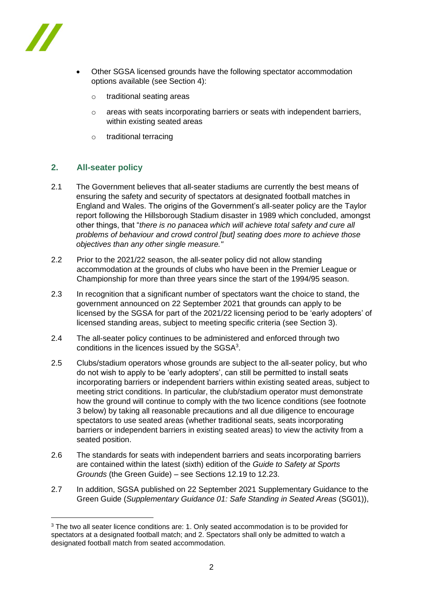

- Other SGSA licensed grounds have the following spectator accommodation options available (see Section 4):
	- o traditional seating areas
	- o areas with seats incorporating barriers or seats with independent barriers, within existing seated areas
	- o traditional terracing

## **2. All-seater policy**

- 2.1 The Government believes that all-seater stadiums are currently the best means of ensuring the safety and security of spectators at designated football matches in England and Wales. The origins of the Government's all-seater policy are the Taylor report following the Hillsborough Stadium disaster in 1989 which concluded, amongst other things, that "*there is no panacea which will achieve total safety and cure all problems of behaviour and crowd control [but] seating does more to achieve those objectives than any other single measure."*
- 2.2 Prior to the 2021/22 season, the all-seater policy did not allow standing accommodation at the grounds of clubs who have been in the Premier League or Championship for more than three years since the start of the 1994/95 season.
- 2.3 In recognition that a significant number of spectators want the choice to stand, the government announced on 22 September 2021 that grounds can apply to be licensed by the SGSA for part of the 2021/22 licensing period to be 'early adopters' of licensed standing areas, subject to meeting specific criteria (see Section 3).
- 2.4 The all-seater policy continues to be administered and enforced through two conditions in the licences issued by the SGSA<sup>3</sup>.
- 2.5 Clubs/stadium operators whose grounds are subject to the all-seater policy, but who do not wish to apply to be 'early adopters', can still be permitted to install seats incorporating barriers or independent barriers within existing seated areas, subject to meeting strict conditions. In particular, the club/stadium operator must demonstrate how the ground will continue to comply with the two licence conditions (see footnote 3 below) by taking all reasonable precautions and all due diligence to encourage spectators to use seated areas (whether traditional seats, seats incorporating barriers or independent barriers in existing seated areas) to view the activity from a seated position.
- 2.6 The standards for seats with independent barriers and seats incorporating barriers are contained within the latest (sixth) edition of the *Guide to Safety at Sports Grounds* (the Green Guide) – see Sections 12.19 to 12.23.
- 2.7 In addition, SGSA published on 22 September 2021 Supplementary Guidance to the Green Guide (*Supplementary Guidance 01: Safe Standing in Seated Areas* (SG01)),

<sup>&</sup>lt;sup>3</sup> The two all seater licence conditions are: 1. Only seated accommodation is to be provided for spectators at a designated football match; and 2. Spectators shall only be admitted to watch a designated football match from seated accommodation.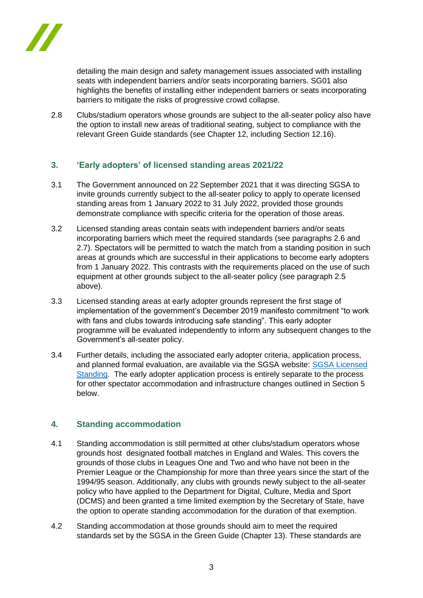

detailing the main design and safety management issues associated with installing seats with independent barriers and/or seats incorporating barriers. SG01 also highlights the benefits of installing either independent barriers or seats incorporating barriers to mitigate the risks of progressive crowd collapse.

2.8 Clubs/stadium operators whose grounds are subject to the all-seater policy also have the option to install new areas of traditional seating, subject to compliance with the relevant Green Guide standards (see Chapter 12, including Section 12.16).

## **3. 'Early adopters' of licensed standing areas 2021/22**

- 3.1 The Government announced on 22 September 2021 that it was directing SGSA to invite grounds currently subject to the all-seater policy to apply to operate licensed standing areas from 1 January 2022 to 31 July 2022, provided those grounds demonstrate compliance with specific criteria for the operation of those areas.
- 3.2 Licensed standing areas contain seats with independent barriers and/or seats incorporating barriers which meet the required standards (see paragraphs 2.6 and 2.7). Spectators will be permitted to watch the match from a standing position in such areas at grounds which are successful in their applications to become early adopters from 1 January 2022. This contrasts with the requirements placed on the use of such equipment at other grounds subject to the all-seater policy (see paragraph 2.5 above).
- 3.3 Licensed standing areas at early adopter grounds represent the first stage of implementation of the government's December 2019 manifesto commitment "to work with fans and clubs towards introducing safe standing". This early adopter programme will be evaluated independently to inform any subsequent changes to the Government's all-seater policy.
- 3.4 Further details, including the associated early adopter criteria, application process, and planned formal evaluation, are available via the SGSA website: [SGSA Licensed](http://www.sgsa.org.uk/licensedstanding)  [Standing.](http://www.sgsa.org.uk/licensedstanding) The early adopter application process is entirely separate to the process for other spectator accommodation and infrastructure changes outlined in Section 5 below.

## **4. Standing accommodation**

- 4.1 Standing accommodation is still permitted at other clubs/stadium operators whose grounds host designated football matches in England and Wales. This covers the grounds of those clubs in Leagues One and Two and who have not been in the Premier League or the Championship for more than three years since the start of the 1994/95 season. Additionally, any clubs with grounds newly subject to the all-seater policy who have applied to the Department for Digital, Culture, Media and Sport (DCMS) and been granted a time limited exemption by the Secretary of State, have the option to operate standing accommodation for the duration of that exemption.
- 4.2 Standing accommodation at those grounds should aim to meet the required standards set by the SGSA in the Green Guide (Chapter 13). These standards are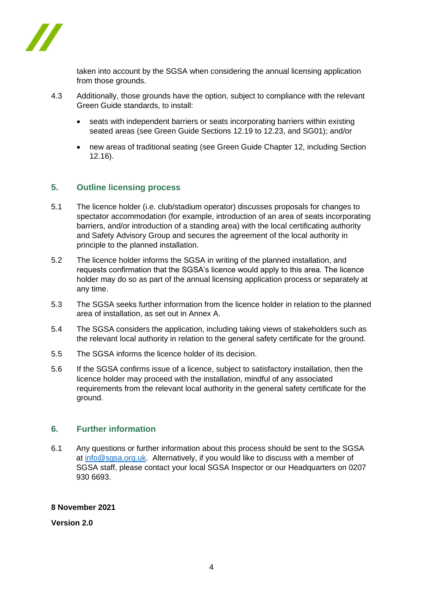

taken into account by the SGSA when considering the annual licensing application from those grounds.

- 4.3 Additionally, those grounds have the option, subject to compliance with the relevant Green Guide standards, to install:
	- seats with independent barriers or seats incorporating barriers within existing seated areas (see Green Guide Sections 12.19 to 12.23, and SG01); and/or
	- new areas of traditional seating (see Green Guide Chapter 12, including Section 12.16).

#### **5. Outline licensing process**

- 5.1 The licence holder (i.e. club/stadium operator) discusses proposals for changes to spectator accommodation (for example, introduction of an area of seats incorporating barriers, and/or introduction of a standing area) with the local certificating authority and Safety Advisory Group and secures the agreement of the local authority in principle to the planned installation.
- 5.2 The licence holder informs the SGSA in writing of the planned installation, and requests confirmation that the SGSA's licence would apply to this area. The licence holder may do so as part of the annual licensing application process or separately at any time.
- 5.3 The SGSA seeks further information from the licence holder in relation to the planned area of installation, as set out in Annex A.
- 5.4 The SGSA considers the application, including taking views of stakeholders such as the relevant local authority in relation to the general safety certificate for the ground.
- 5.5 The SGSA informs the licence holder of its decision.
- 5.6 If the SGSA confirms issue of a licence, subject to satisfactory installation, then the licence holder may proceed with the installation, mindful of any associated requirements from the relevant local authority in the general safety certificate for the ground.

#### **6. Further information**

6.1 Any questions or further information about this process should be sent to the SGSA at [info@sgsa.org.uk.](mailto:info@sgsamail.org.uk) Alternatively, if you would like to discuss with a member of SGSA staff, please contact your local SGSA Inspector or our Headquarters on 0207 930 6693.

#### **8 November 2021**

**Version 2.0**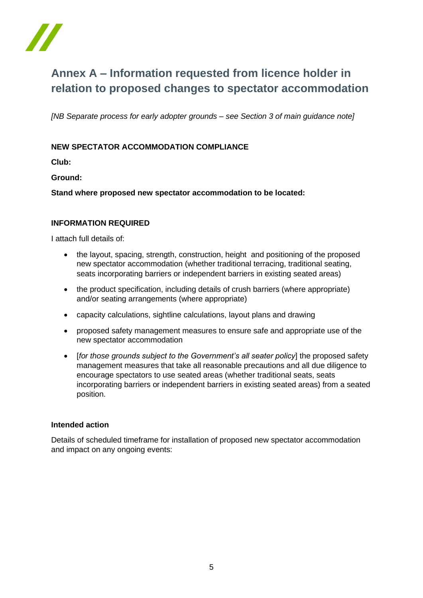

## **Annex A – Information requested from licence holder in relation to proposed changes to spectator accommodation**

*[NB Separate process for early adopter grounds – see Section 3 of main guidance note]*

## **NEW SPECTATOR ACCOMMODATION COMPLIANCE**

**Club:** 

**Ground:**

**Stand where proposed new spectator accommodation to be located:**

#### **INFORMATION REQUIRED**

I attach full details of:

- the layout, spacing, strength, construction, height and positioning of the proposed new spectator accommodation (whether traditional terracing, traditional seating, seats incorporating barriers or independent barriers in existing seated areas)
- the product specification, including details of crush barriers (where appropriate) and/or seating arrangements (where appropriate)
- capacity calculations, sightline calculations, layout plans and drawing
- proposed safety management measures to ensure safe and appropriate use of the new spectator accommodation
- [*for those grounds subject to the Government's all seater policy*] the proposed safety management measures that take all reasonable precautions and all due diligence to encourage spectators to use seated areas (whether traditional seats, seats incorporating barriers or independent barriers in existing seated areas) from a seated position.

#### **Intended action**

Details of scheduled timeframe for installation of proposed new spectator accommodation and impact on any ongoing events: